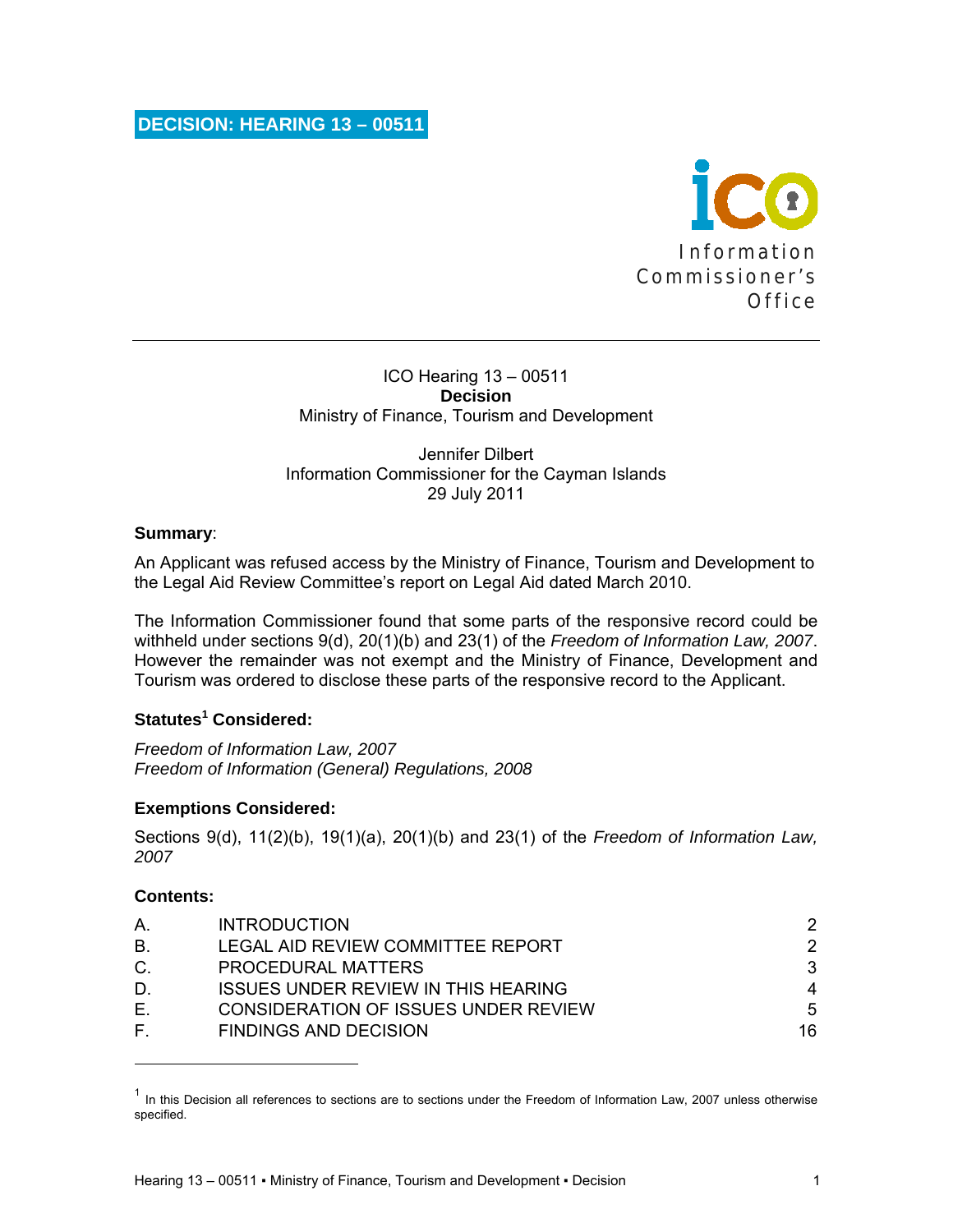

### ICO Hearing 13 – 00511 **Decision**  Ministry of Finance, Tourism and Development

### Jennifer Dilbert Information Commissioner for the Cayman Islands 29 July 2011

## **Summary**:

An Applicant was refused access by the Ministry of Finance, Tourism and Development to the Legal Aid Review Committee's report on Legal Aid dated March 2010.

The Information Commissioner found that some parts of the responsive record could be withheld under sections 9(d), 20(1)(b) and 23(1) of the *Freedom of Information Law, 2007*. However the remainder was not exempt and the Ministry of Finance, Development and Tourism was ordered to disclose these parts of the responsive record to the Applicant.

## **Statutes<sup>1</sup> Considered:**

*Freedom of Information Law, 2007 Freedom of Information (General) Regulations, 2008* 

## **Exemptions Considered:**

Sections 9(d), 11(2)(b), 19(1)(a), 20(1)(b) and 23(1) of the *Freedom of Information Law, 2007* 

### **Contents:**

| A <sub>1</sub> | <b>INTRODUCTION</b>                         |    |
|----------------|---------------------------------------------|----|
| <b>B.</b>      | LEGAL AID REVIEW COMMITTEE REPORT           | 2  |
| $C$ .          | <b>PROCEDURAL MATTERS</b>                   | 3  |
| D.             | <b>ISSUES UNDER REVIEW IN THIS HEARING</b>  | 4  |
| Е.             | <b>CONSIDERATION OF ISSUES UNDER REVIEW</b> | 5  |
| F.             | <b>FINDINGS AND DECISION</b>                | 16 |

 $<sup>1</sup>$  In this Decision all references to sections are to sections under the Freedom of Information Law, 2007 unless otherwise</sup> specified.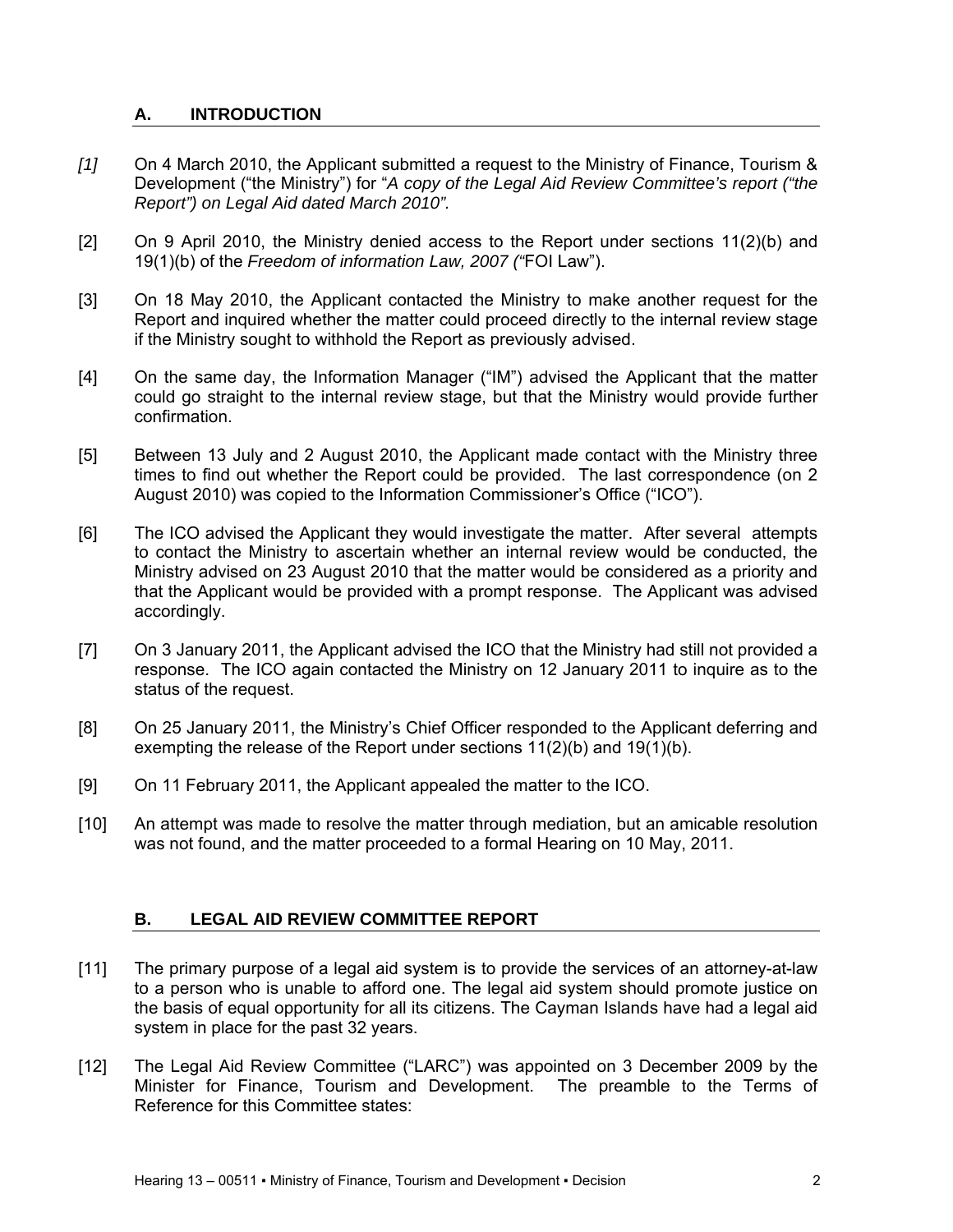## **A. INTRODUCTION**

- *[1]* On 4 March 2010, the Applicant submitted a request to the Ministry of Finance, Tourism & Development ("the Ministry") for "*A copy of the Legal Aid Review Committee's report ("the Report") on Legal Aid dated March 2010".*
- [2] On 9 April 2010, the Ministry denied access to the Report under sections 11(2)(b) and 19(1)(b) of the *Freedom of information Law, 2007 ("*FOI Law").
- [3] On 18 May 2010, the Applicant contacted the Ministry to make another request for the Report and inquired whether the matter could proceed directly to the internal review stage if the Ministry sought to withhold the Report as previously advised.
- [4] On the same day, the Information Manager ("IM") advised the Applicant that the matter could go straight to the internal review stage, but that the Ministry would provide further confirmation.
- [5] Between 13 July and 2 August 2010, the Applicant made contact with the Ministry three times to find out whether the Report could be provided. The last correspondence (on 2 August 2010) was copied to the Information Commissioner's Office ("ICO").
- [6] The ICO advised the Applicant they would investigate the matter. After several attempts to contact the Ministry to ascertain whether an internal review would be conducted, the Ministry advised on 23 August 2010 that the matter would be considered as a priority and that the Applicant would be provided with a prompt response. The Applicant was advised accordingly.
- [7] On 3 January 2011, the Applicant advised the ICO that the Ministry had still not provided a response. The ICO again contacted the Ministry on 12 January 2011 to inquire as to the status of the request.
- [8] On 25 January 2011, the Ministry's Chief Officer responded to the Applicant deferring and exempting the release of the Report under sections 11(2)(b) and 19(1)(b).
- [9] On 11 February 2011, the Applicant appealed the matter to the ICO.
- [10] An attempt was made to resolve the matter through mediation, but an amicable resolution was not found, and the matter proceeded to a formal Hearing on 10 May, 2011.

## **B. LEGAL AID REVIEW COMMITTEE REPORT**

- [11] The primary purpose of a legal aid system is to provide the services of an attorney-at-law to a person who is unable to afford one. The legal aid system should promote justice on the basis of equal opportunity for all its citizens. The Cayman Islands have had a legal aid system in place for the past 32 years.
- [12] The Legal Aid Review Committee ("LARC") was appointed on 3 December 2009 by the Minister for Finance, Tourism and Development. The preamble to the Terms of Reference for this Committee states: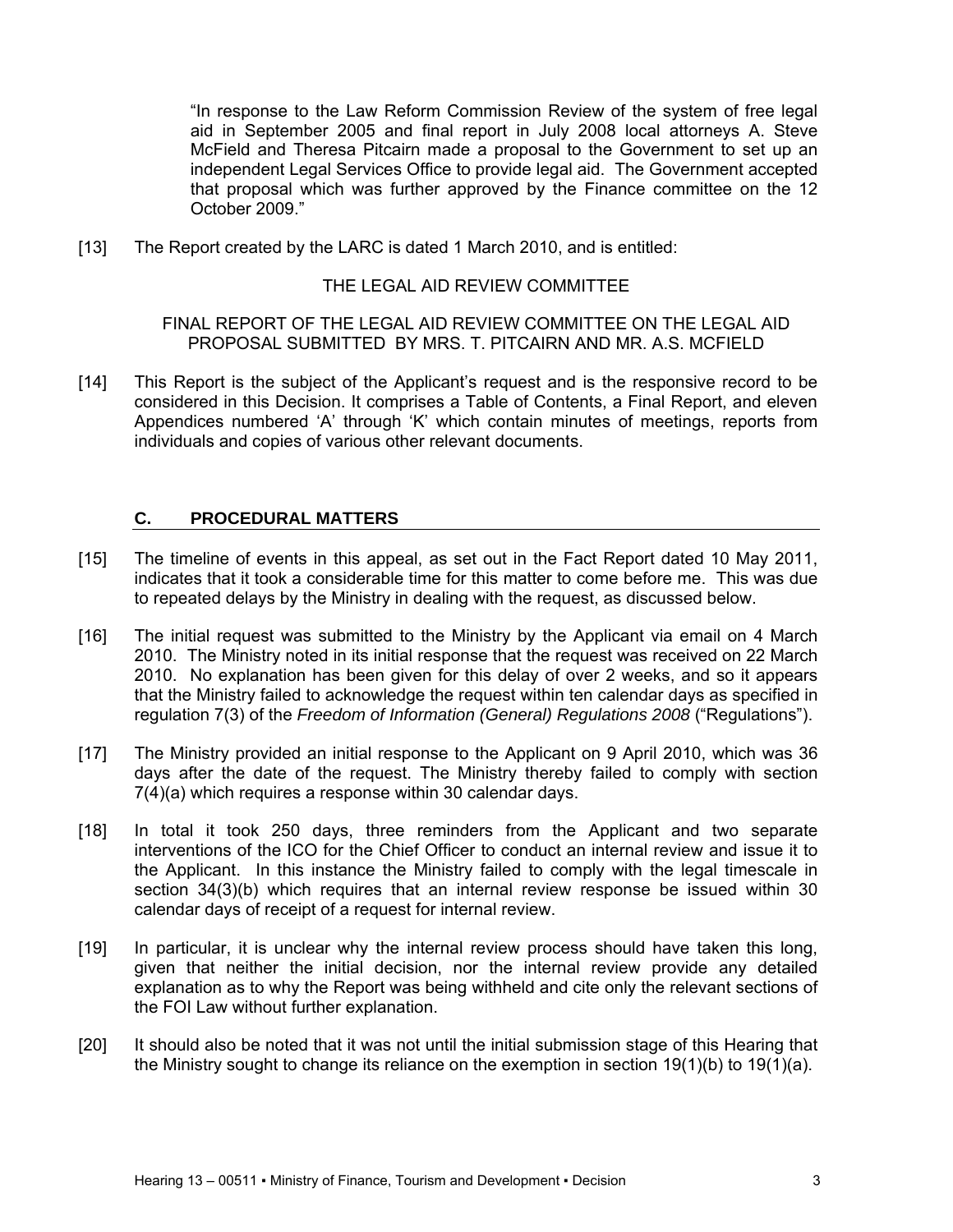"In response to the Law Reform Commission Review of the system of free legal aid in September 2005 and final report in July 2008 local attorneys A. Steve McField and Theresa Pitcairn made a proposal to the Government to set up an independent Legal Services Office to provide legal aid. The Government accepted that proposal which was further approved by the Finance committee on the 12 October 2009."

[13] The Report created by the LARC is dated 1 March 2010, and is entitled:

### THE LEGAL AID REVIEW COMMITTEE

### FINAL REPORT OF THE LEGAL AID REVIEW COMMITTEE ON THE LEGAL AID PROPOSAL SUBMITTED BY MRS. T. PITCAIRN AND MR. A.S. MCFIELD

[14] This Report is the subject of the Applicant's request and is the responsive record to be considered in this Decision. It comprises a Table of Contents, a Final Report, and eleven Appendices numbered 'A' through 'K' which contain minutes of meetings, reports from individuals and copies of various other relevant documents.

## **C. PROCEDURAL MATTERS**

- [15] The timeline of events in this appeal, as set out in the Fact Report dated 10 May 2011, indicates that it took a considerable time for this matter to come before me. This was due to repeated delays by the Ministry in dealing with the request, as discussed below.
- [16] The initial request was submitted to the Ministry by the Applicant via email on 4 March 2010. The Ministry noted in its initial response that the request was received on 22 March 2010. No explanation has been given for this delay of over 2 weeks, and so it appears that the Ministry failed to acknowledge the request within ten calendar days as specified in regulation 7(3) of the *Freedom of Information (General) Regulations 2008* ("Regulations").
- [17] The Ministry provided an initial response to the Applicant on 9 April 2010, which was 36 days after the date of the request. The Ministry thereby failed to comply with section 7(4)(a) which requires a response within 30 calendar days.
- [18] In total it took 250 days, three reminders from the Applicant and two separate interventions of the ICO for the Chief Officer to conduct an internal review and issue it to the Applicant. In this instance the Ministry failed to comply with the legal timescale in section 34(3)(b) which requires that an internal review response be issued within 30 calendar days of receipt of a request for internal review.
- [19] In particular, it is unclear why the internal review process should have taken this long, given that neither the initial decision, nor the internal review provide any detailed explanation as to why the Report was being withheld and cite only the relevant sections of the FOI Law without further explanation.
- [20] It should also be noted that it was not until the initial submission stage of this Hearing that the Ministry sought to change its reliance on the exemption in section  $19(1)(b)$  to  $19(1)(a)$ .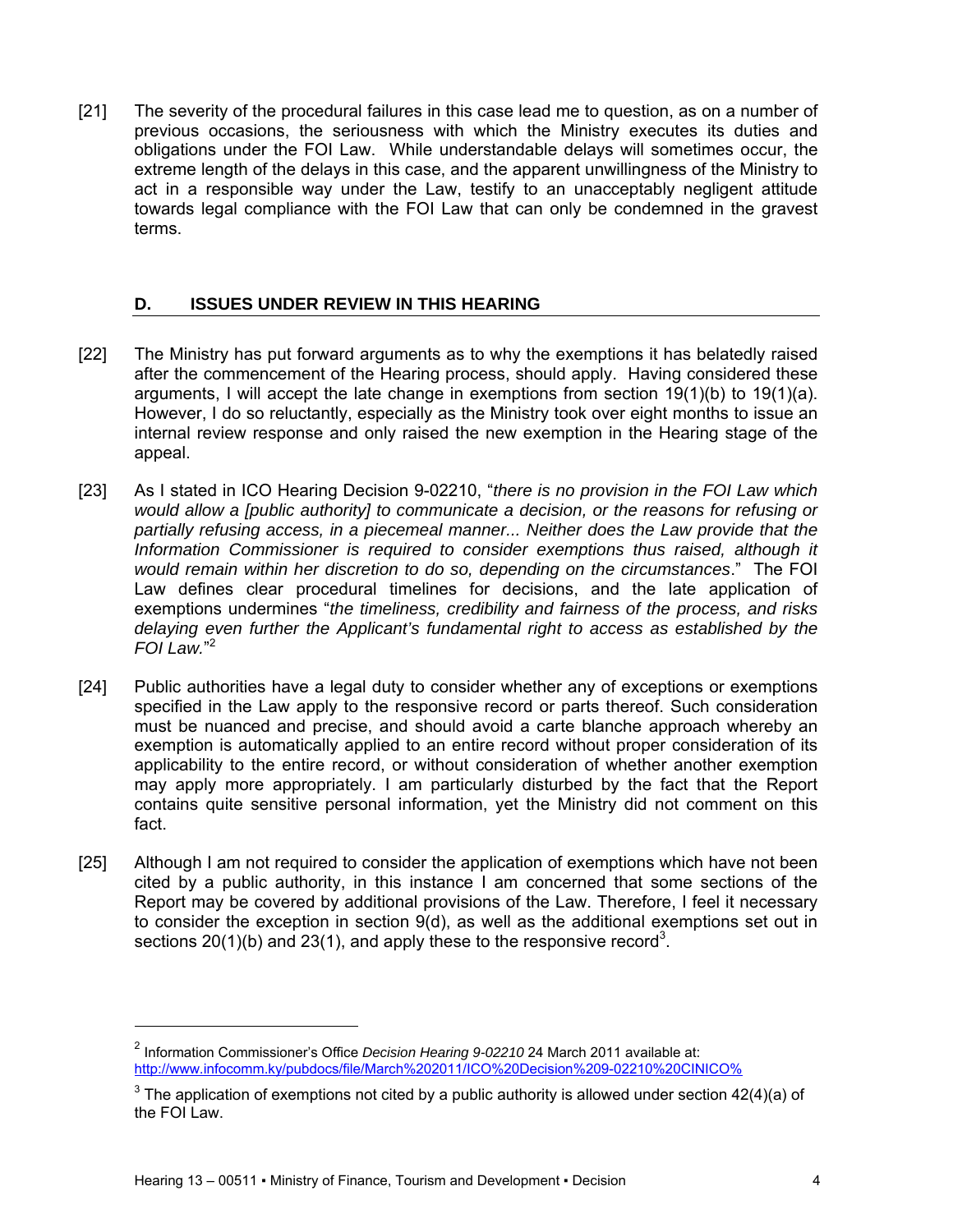[21] The severity of the procedural failures in this case lead me to question, as on a number of previous occasions, the seriousness with which the Ministry executes its duties and obligations under the FOI Law. While understandable delays will sometimes occur, the extreme length of the delays in this case, and the apparent unwillingness of the Ministry to act in a responsible way under the Law, testify to an unacceptably negligent attitude towards legal compliance with the FOI Law that can only be condemned in the gravest terms.

### **D. ISSUES UNDER REVIEW IN THIS HEARING**

- [22] The Ministry has put forward arguments as to why the exemptions it has belatedly raised after the commencement of the Hearing process, should apply. Having considered these arguments, I will accept the late change in exemptions from section  $19(1)(b)$  to  $19(1)(a)$ . However, I do so reluctantly, especially as the Ministry took over eight months to issue an internal review response and only raised the new exemption in the Hearing stage of the appeal.
- [23] As I stated in ICO Hearing Decision 9-02210, "*there is no provision in the FOI Law which would allow a [public authority] to communicate a decision, or the reasons for refusing or partially refusing access, in a piecemeal manner... Neither does the Law provide that the Information Commissioner is required to consider exemptions thus raised, although it would remain within her discretion to do so, depending on the circumstances*." The FOI Law defines clear procedural timelines for decisions, and the late application of exemptions undermines "*the timeliness, credibility and fairness of the process, and risks delaying even further the Applicant's fundamental right to access as established by the FOI Law.*" 2
- [24] Public authorities have a legal duty to consider whether any of exceptions or exemptions specified in the Law apply to the responsive record or parts thereof. Such consideration must be nuanced and precise, and should avoid a carte blanche approach whereby an exemption is automatically applied to an entire record without proper consideration of its applicability to the entire record, or without consideration of whether another exemption may apply more appropriately. I am particularly disturbed by the fact that the Report contains quite sensitive personal information, yet the Ministry did not comment on this fact.
- [25] Although I am not required to consider the application of exemptions which have not been cited by a public authority, in this instance I am concerned that some sections of the Report may be covered by additional provisions of the Law. Therefore, I feel it necessary to consider the exception in section  $9(d)$ , as well as the additional exemptions set out in sections  $20(1)(b)$  and  $23(1)$ , and apply these to the responsive record<sup>3</sup>.

<sup>2</sup> Information Commissioner's Office *Decision Hearing 9-02210* 24 March 2011 available at: http://www.infocomm.ky/pubdocs/file/March%202011/ICO%20Decision%209-02210%20CINICO%

<sup>&</sup>lt;sup>3</sup> The application of exemptions not cited by a public authority is allowed under section 42(4)(a) of the FOI Law.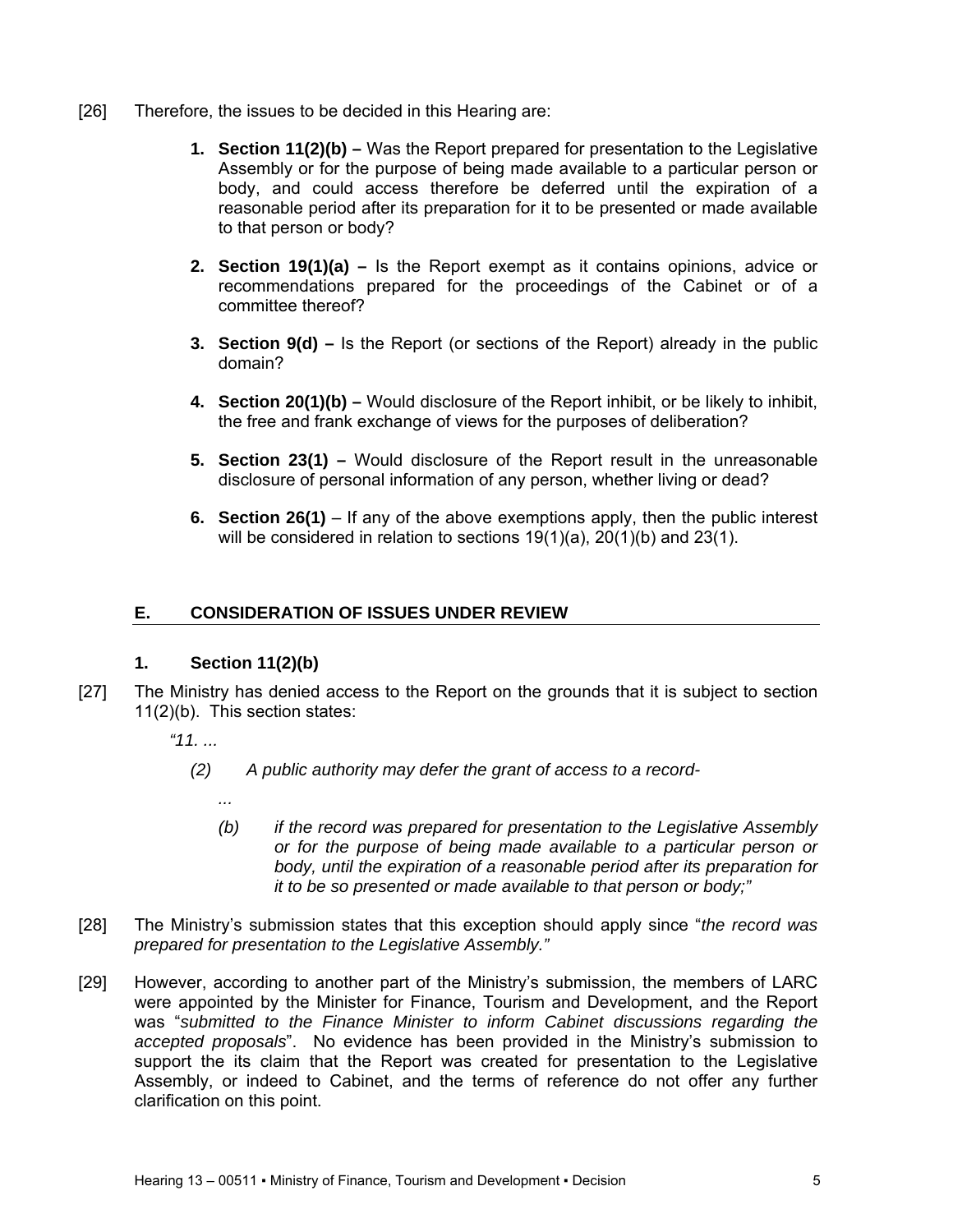- [26] Therefore, the issues to be decided in this Hearing are:
	- **1. Section 11(2)(b)** Was the Report prepared for presentation to the Legislative Assembly or for the purpose of being made available to a particular person or body, and could access therefore be deferred until the expiration of a reasonable period after its preparation for it to be presented or made available to that person or body?
	- **2. Section 19(1)(a)** Is the Report exempt as it contains opinions, advice or recommendations prepared for the proceedings of the Cabinet or of a committee thereof?
	- **3. Section 9(d) –** Is the Report (or sections of the Report) already in the public domain?
	- **4. Section 20(1)(b)** Would disclosure of the Report inhibit, or be likely to inhibit, the free and frank exchange of views for the purposes of deliberation?
	- **5. Section 23(1)** Would disclosure of the Report result in the unreasonable disclosure of personal information of any person, whether living or dead?
	- **6. Section 26(1)** If any of the above exemptions apply, then the public interest will be considered in relation to sections 19(1)(a), 20(1)(b) and 23(1).

## **E. CONSIDERATION OF ISSUES UNDER REVIEW**

## **1. Section 11(2)(b)**

- [27] The Ministry has denied access to the Report on the grounds that it is subject to section 11(2)(b). This section states:
	- *"11. ...* 
		- *(2) A public authority may defer the grant of access to a record-* 
			- *...*
			- *(b) if the record was prepared for presentation to the Legislative Assembly or for the purpose of being made available to a particular person or body, until the expiration of a reasonable period after its preparation for it to be so presented or made available to that person or body;"*
- [28] The Ministry's submission states that this exception should apply since "*the record was prepared for presentation to the Legislative Assembly."*
- [29] However, according to another part of the Ministry's submission, the members of LARC were appointed by the Minister for Finance, Tourism and Development, and the Report was "*submitted to the Finance Minister to inform Cabinet discussions regarding the accepted proposals*". No evidence has been provided in the Ministry's submission to support the its claim that the Report was created for presentation to the Legislative Assembly, or indeed to Cabinet, and the terms of reference do not offer any further clarification on this point.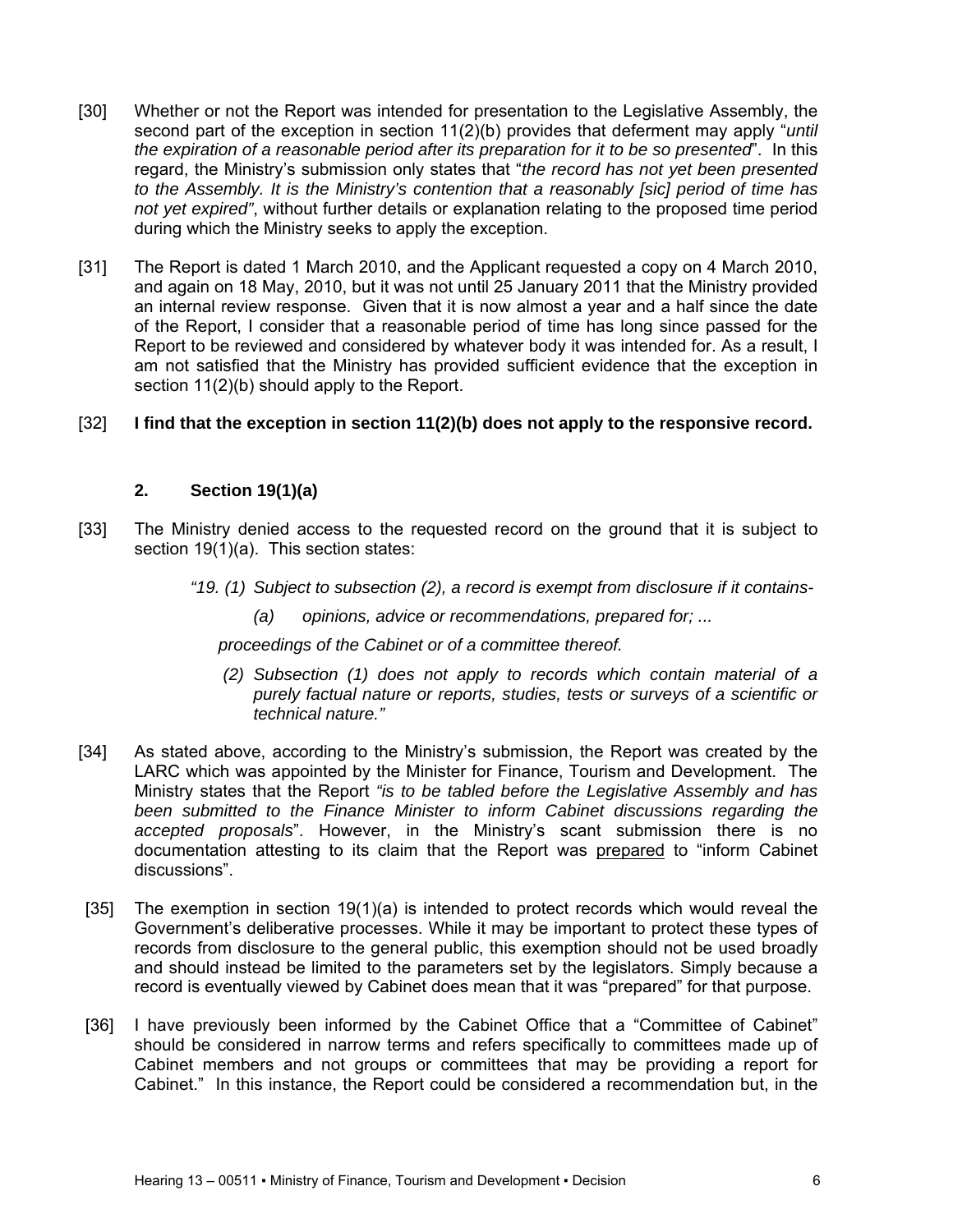- [30] Whether or not the Report was intended for presentation to the Legislative Assembly, the second part of the exception in section 11(2)(b) provides that deferment may apply "*until the expiration of a reasonable period after its preparation for it to be so presented*". In this regard, the Ministry's submission only states that "*the record has not yet been presented to the Assembly. It is the Ministry's contention that a reasonably [sic] period of time has not yet expired"*, without further details or explanation relating to the proposed time period during which the Ministry seeks to apply the exception.
- [31] The Report is dated 1 March 2010, and the Applicant requested a copy on 4 March 2010, and again on 18 May, 2010, but it was not until 25 January 2011 that the Ministry provided an internal review response. Given that it is now almost a year and a half since the date of the Report, I consider that a reasonable period of time has long since passed for the Report to be reviewed and considered by whatever body it was intended for. As a result, I am not satisfied that the Ministry has provided sufficient evidence that the exception in section  $11(2)(b)$  should apply to the Report.

## [32] **I find that the exception in section 11(2)(b) does not apply to the responsive record.**

## **2. Section 19(1)(a)**

- [33] The Ministry denied access to the requested record on the ground that it is subject to section 19(1)(a). This section states:
	- *"19. (1) Subject to subsection (2), a record is exempt from disclosure if it contains-* 
		- *(a) opinions, advice or recommendations, prepared for; ...*

*proceedings of the Cabinet or of a committee thereof.* 

- *(2) Subsection (1) does not apply to records which contain material of a purely factual nature or reports, studies, tests or surveys of a scientific or technical nature."*
- [34] As stated above, according to the Ministry's submission, the Report was created by the LARC which was appointed by the Minister for Finance, Tourism and Development. The Ministry states that the Report *"is to be tabled before the Legislative Assembly and has been submitted to the Finance Minister to inform Cabinet discussions regarding the accepted proposals*". However, in the Ministry's scant submission there is no documentation attesting to its claim that the Report was prepared to "inform Cabinet discussions".
- [35] The exemption in section 19(1)(a) is intended to protect records which would reveal the Government's deliberative processes. While it may be important to protect these types of records from disclosure to the general public, this exemption should not be used broadly and should instead be limited to the parameters set by the legislators. Simply because a record is eventually viewed by Cabinet does mean that it was "prepared" for that purpose.
- [36] I have previously been informed by the Cabinet Office that a "Committee of Cabinet" should be considered in narrow terms and refers specifically to committees made up of Cabinet members and not groups or committees that may be providing a report for Cabinet." In this instance, the Report could be considered a recommendation but, in the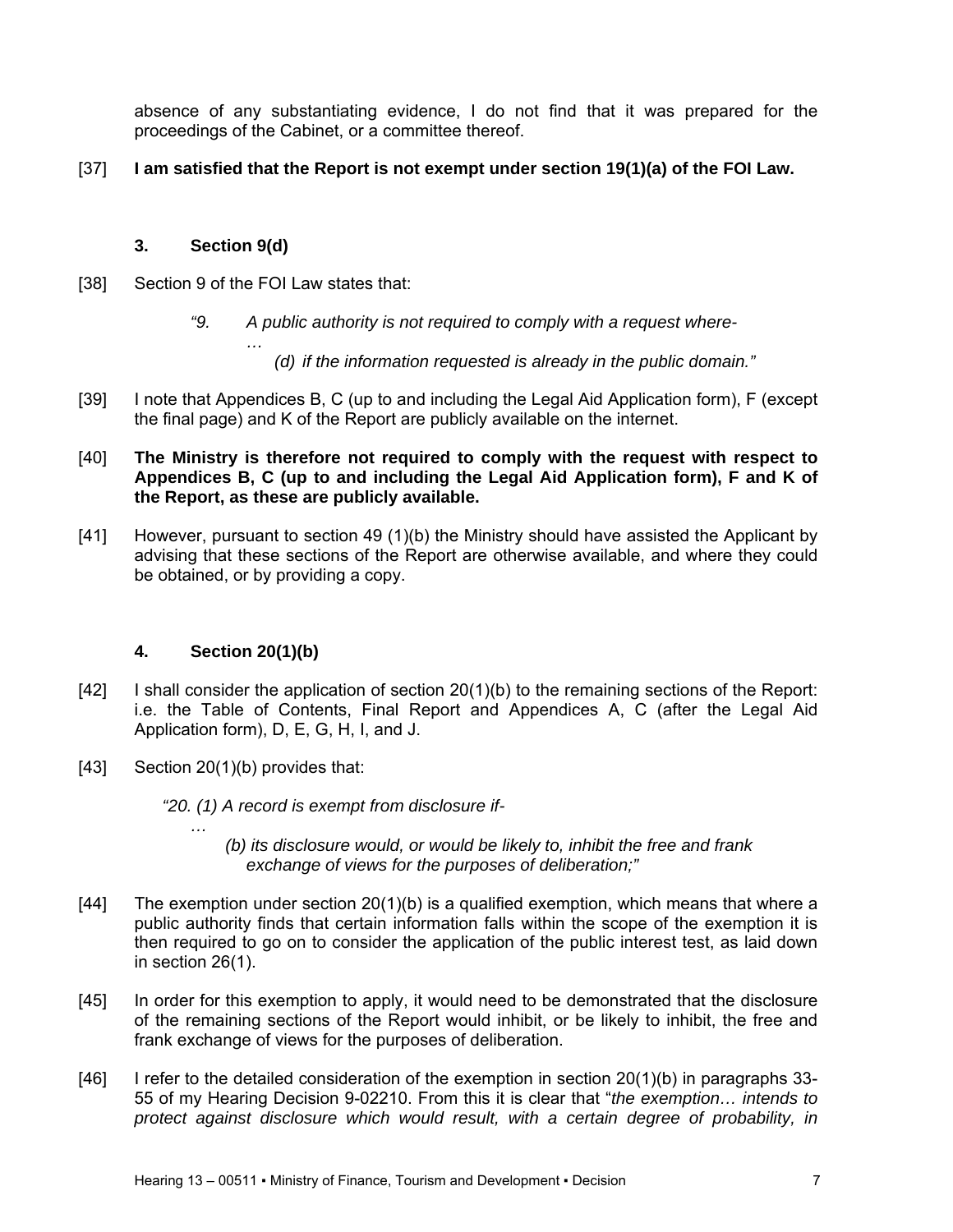absence of any substantiating evidence, I do not find that it was prepared for the proceedings of the Cabinet, or a committee thereof.

## [37] **I am satisfied that the Report is not exempt under section 19(1)(a) of the FOI Law.**

## **3. Section 9(d)**

[38] Section 9 of the FOI Law states that:

*…* 

*"9. A public authority is not required to comply with a request where-* 

*(d) if the information requested is already in the public domain."* 

[39] I note that Appendices B, C (up to and including the Legal Aid Application form), F (except the final page) and K of the Report are publicly available on the internet.

### [40] **The Ministry is therefore not required to comply with the request with respect to Appendices B, C (up to and including the Legal Aid Application form), F and K of the Report, as these are publicly available.**

[41] However, pursuant to section 49 (1)(b) the Ministry should have assisted the Applicant by advising that these sections of the Report are otherwise available, and where they could be obtained, or by providing a copy.

# **4. Section 20(1)(b)**

- [42] I shall consider the application of section 20(1)(b) to the remaining sections of the Report: i.e. the Table of Contents, Final Report and Appendices A, C (after the Legal Aid Application form), D, E, G, H, I, and J.
- [43] Section 20(1)(b) provides that:

*…* 

*"20. (1) A record is exempt from disclosure if-* 

*(b) its disclosure would, or would be likely to, inhibit the free and frank exchange of views for the purposes of deliberation;"* 

- [44] The exemption under section 20(1)(b) is a qualified exemption, which means that where a public authority finds that certain information falls within the scope of the exemption it is then required to go on to consider the application of the public interest test, as laid down in section 26(1).
- [45] In order for this exemption to apply, it would need to be demonstrated that the disclosure of the remaining sections of the Report would inhibit, or be likely to inhibit, the free and frank exchange of views for the purposes of deliberation.
- [46] I refer to the detailed consideration of the exemption in section 20(1)(b) in paragraphs 33-55 of my Hearing Decision 9-02210. From this it is clear that "*the exemption… intends to protect against disclosure which would result, with a certain degree of probability, in*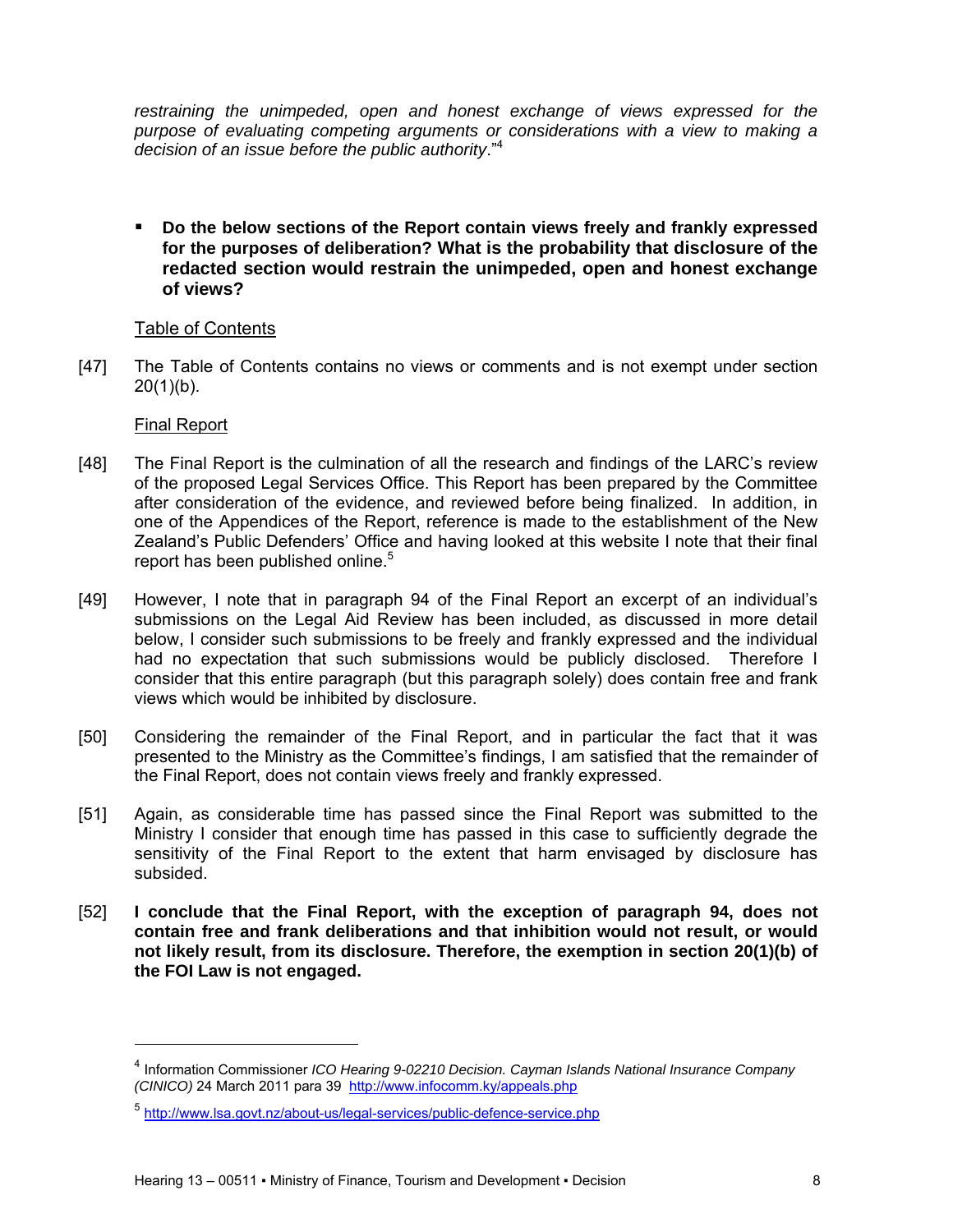restraining the unimpeded, open and honest exchange of views expressed for the *purpose of evaluating competing arguments or considerations with a view to making a decision of an issue before the public authority*."4

 **Do the below sections of the Report contain views freely and frankly expressed for the purposes of deliberation? What is the probability that disclosure of the redacted section would restrain the unimpeded, open and honest exchange of views?** 

## Table of Contents

[47] The Table of Contents contains no views or comments and is not exempt under section  $20(1)(b)$ .

## Final Report

- [48] The Final Report is the culmination of all the research and findings of the LARC's review of the proposed Legal Services Office. This Report has been prepared by the Committee after consideration of the evidence, and reviewed before being finalized. In addition, in one of the Appendices of the Report, reference is made to the establishment of the New Zealand's Public Defenders' Office and having looked at this website I note that their final report has been published online.<sup>5</sup>
- [49] However, I note that in paragraph 94 of the Final Report an excerpt of an individual's submissions on the Legal Aid Review has been included, as discussed in more detail below, I consider such submissions to be freely and frankly expressed and the individual had no expectation that such submissions would be publicly disclosed. Therefore I consider that this entire paragraph (but this paragraph solely) does contain free and frank views which would be inhibited by disclosure.
- [50] Considering the remainder of the Final Report, and in particular the fact that it was presented to the Ministry as the Committee's findings, I am satisfied that the remainder of the Final Report, does not contain views freely and frankly expressed.
- [51] Again, as considerable time has passed since the Final Report was submitted to the Ministry I consider that enough time has passed in this case to sufficiently degrade the sensitivity of the Final Report to the extent that harm envisaged by disclosure has subsided.
- [52] **I conclude that the Final Report, with the exception of paragraph 94, does not contain free and frank deliberations and that inhibition would not result, or would not likely result, from its disclosure. Therefore, the exemption in section 20(1)(b) of the FOI Law is not engaged.**

<sup>4</sup> Information Commissioner *ICO Hearing 9-02210 Decision. Cayman Islands National Insurance Company (CINICO)* 24 March 2011 para 39 http://www.infocomm.ky/appeals.php

<sup>5</sup> http://www.lsa.govt.nz/about-us/legal-services/public-defence-service.php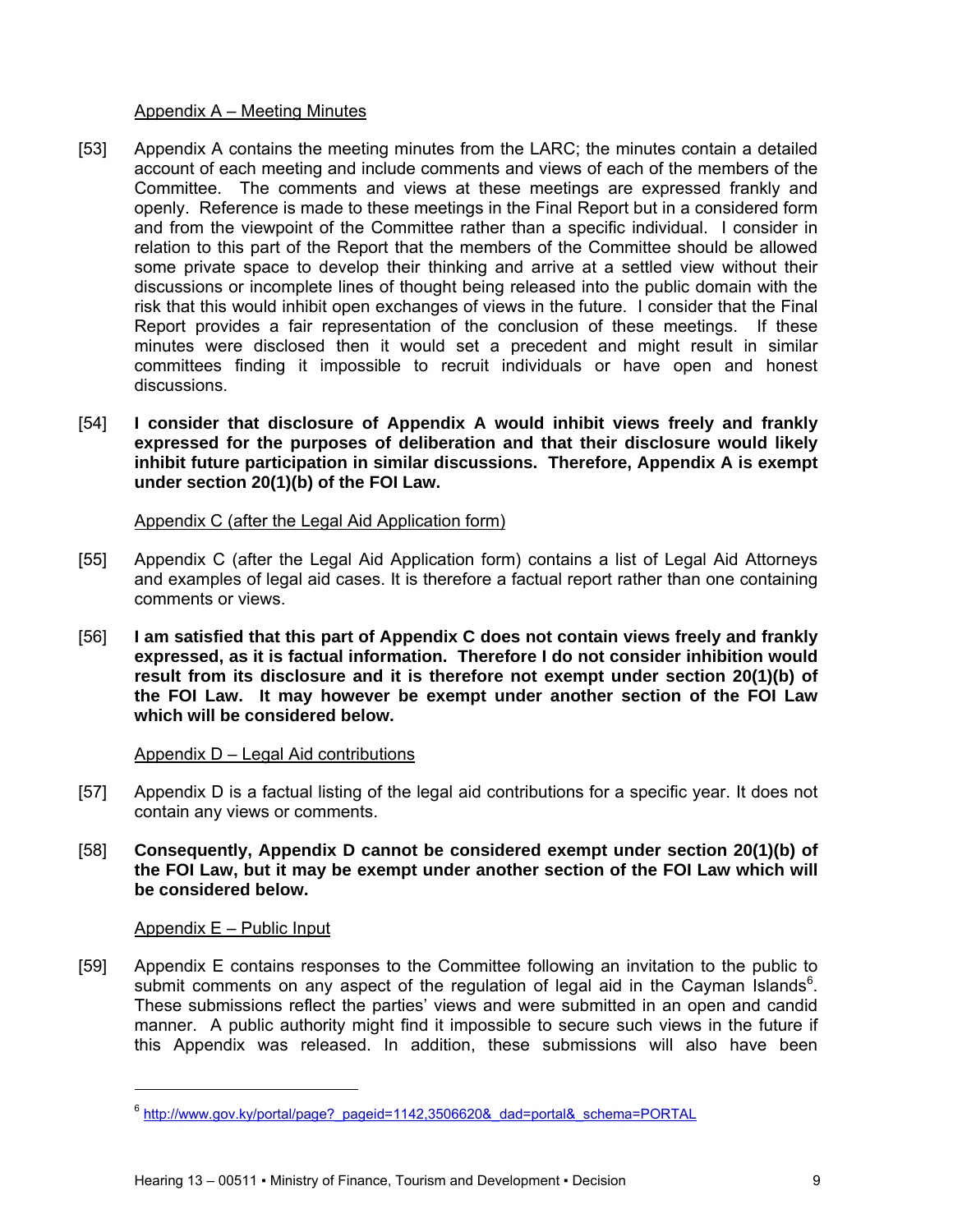### Appendix A – Meeting Minutes

- [53] Appendix A contains the meeting minutes from the LARC; the minutes contain a detailed account of each meeting and include comments and views of each of the members of the Committee. The comments and views at these meetings are expressed frankly and openly. Reference is made to these meetings in the Final Report but in a considered form and from the viewpoint of the Committee rather than a specific individual. I consider in relation to this part of the Report that the members of the Committee should be allowed some private space to develop their thinking and arrive at a settled view without their discussions or incomplete lines of thought being released into the public domain with the risk that this would inhibit open exchanges of views in the future. I consider that the Final Report provides a fair representation of the conclusion of these meetings. If these minutes were disclosed then it would set a precedent and might result in similar committees finding it impossible to recruit individuals or have open and honest discussions.
- [54] **I consider that disclosure of Appendix A would inhibit views freely and frankly expressed for the purposes of deliberation and that their disclosure would likely inhibit future participation in similar discussions. Therefore, Appendix A is exempt under section 20(1)(b) of the FOI Law.**

### Appendix C (after the Legal Aid Application form)

- [55] Appendix C (after the Legal Aid Application form) contains a list of Legal Aid Attorneys and examples of legal aid cases. It is therefore a factual report rather than one containing comments or views.
- [56] **I am satisfied that this part of Appendix C does not contain views freely and frankly expressed, as it is factual information. Therefore I do not consider inhibition would result from its disclosure and it is therefore not exempt under section 20(1)(b) of the FOI Law. It may however be exempt under another section of the FOI Law which will be considered below.**

## Appendix D – Legal Aid contributions

- [57] Appendix D is a factual listing of the legal aid contributions for a specific year. It does not contain any views or comments.
- [58] **Consequently, Appendix D cannot be considered exempt under section 20(1)(b) of the FOI Law, but it may be exempt under another section of the FOI Law which will be considered below.**

## Appendix E – Public Input

l

[59] Appendix E contains responses to the Committee following an invitation to the public to submit comments on any aspect of the regulation of legal aid in the Cayman Islands $6$ . These submissions reflect the parties' views and were submitted in an open and candid manner. A public authority might find it impossible to secure such views in the future if this Appendix was released. In addition, these submissions will also have been

<sup>&</sup>lt;sup>6</sup> http://www.gov.ky/portal/page?\_pageid=1142,3506620&\_dad=portal&\_schema=PORTAL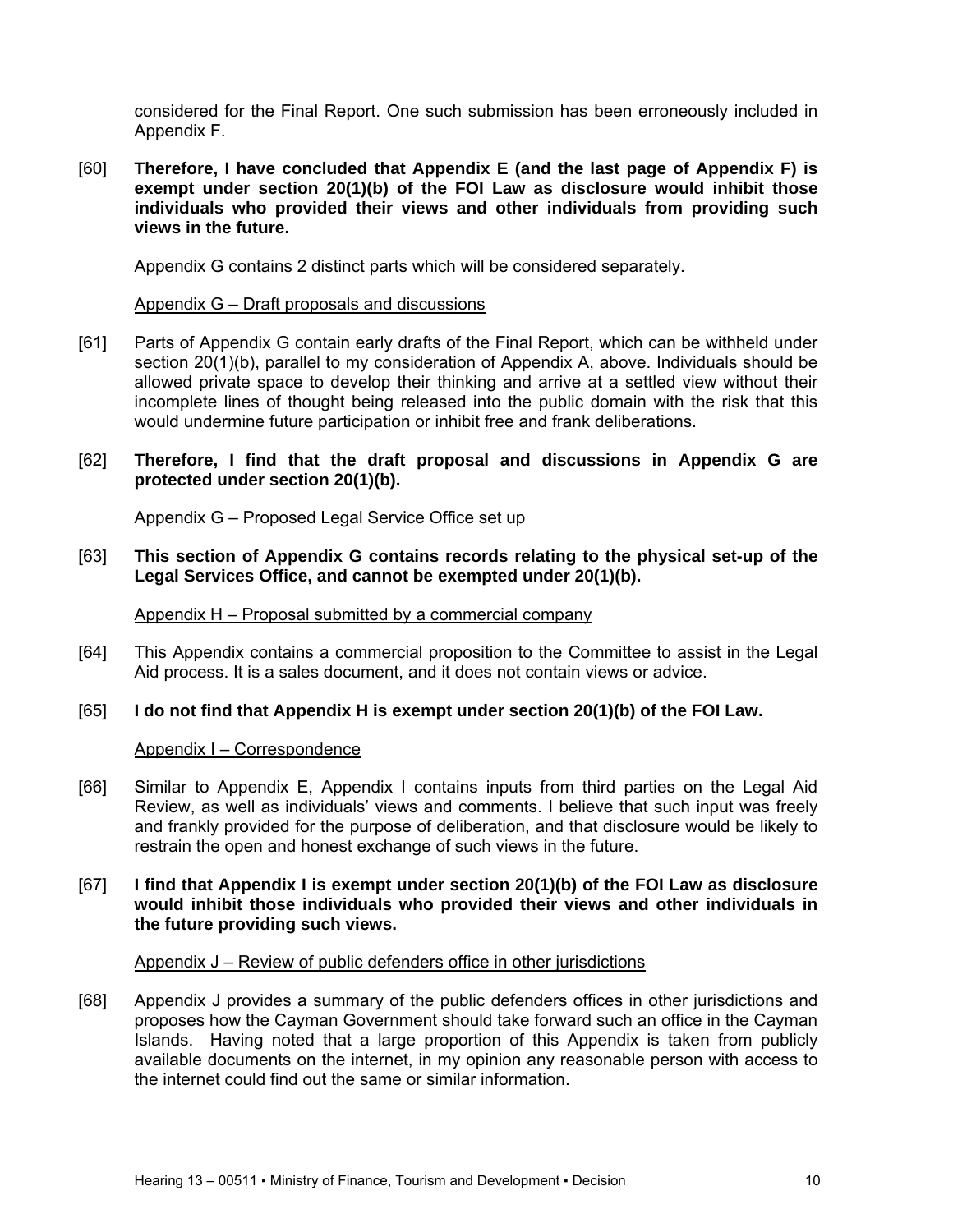considered for the Final Report. One such submission has been erroneously included in Appendix F.

[60] **Therefore, I have concluded that Appendix E (and the last page of Appendix F) is exempt under section 20(1)(b) of the FOI Law as disclosure would inhibit those individuals who provided their views and other individuals from providing such views in the future.** 

Appendix G contains 2 distinct parts which will be considered separately.

#### Appendix G – Draft proposals and discussions

[61] Parts of Appendix G contain early drafts of the Final Report, which can be withheld under section 20(1)(b), parallel to my consideration of Appendix A, above. Individuals should be allowed private space to develop their thinking and arrive at a settled view without their incomplete lines of thought being released into the public domain with the risk that this would undermine future participation or inhibit free and frank deliberations.

### [62] **Therefore, I find that the draft proposal and discussions in Appendix G are protected under section 20(1)(b).**

Appendix G – Proposed Legal Service Office set up

[63] **This section of Appendix G contains records relating to the physical set-up of the Legal Services Office, and cannot be exempted under 20(1)(b).** 

Appendix H – Proposal submitted by a commercial company

[64] This Appendix contains a commercial proposition to the Committee to assist in the Legal Aid process. It is a sales document, and it does not contain views or advice.

### [65] **I do not find that Appendix H is exempt under section 20(1)(b) of the FOI Law.**

#### Appendix I – Correspondence

- [66] Similar to Appendix E, Appendix I contains inputs from third parties on the Legal Aid Review, as well as individuals' views and comments. I believe that such input was freely and frankly provided for the purpose of deliberation, and that disclosure would be likely to restrain the open and honest exchange of such views in the future.
- [67] **I find that Appendix I is exempt under section 20(1)(b) of the FOI Law as disclosure would inhibit those individuals who provided their views and other individuals in the future providing such views.**

#### Appendix J – Review of public defenders office in other jurisdictions

[68] Appendix J provides a summary of the public defenders offices in other jurisdictions and proposes how the Cayman Government should take forward such an office in the Cayman Islands. Having noted that a large proportion of this Appendix is taken from publicly available documents on the internet, in my opinion any reasonable person with access to the internet could find out the same or similar information.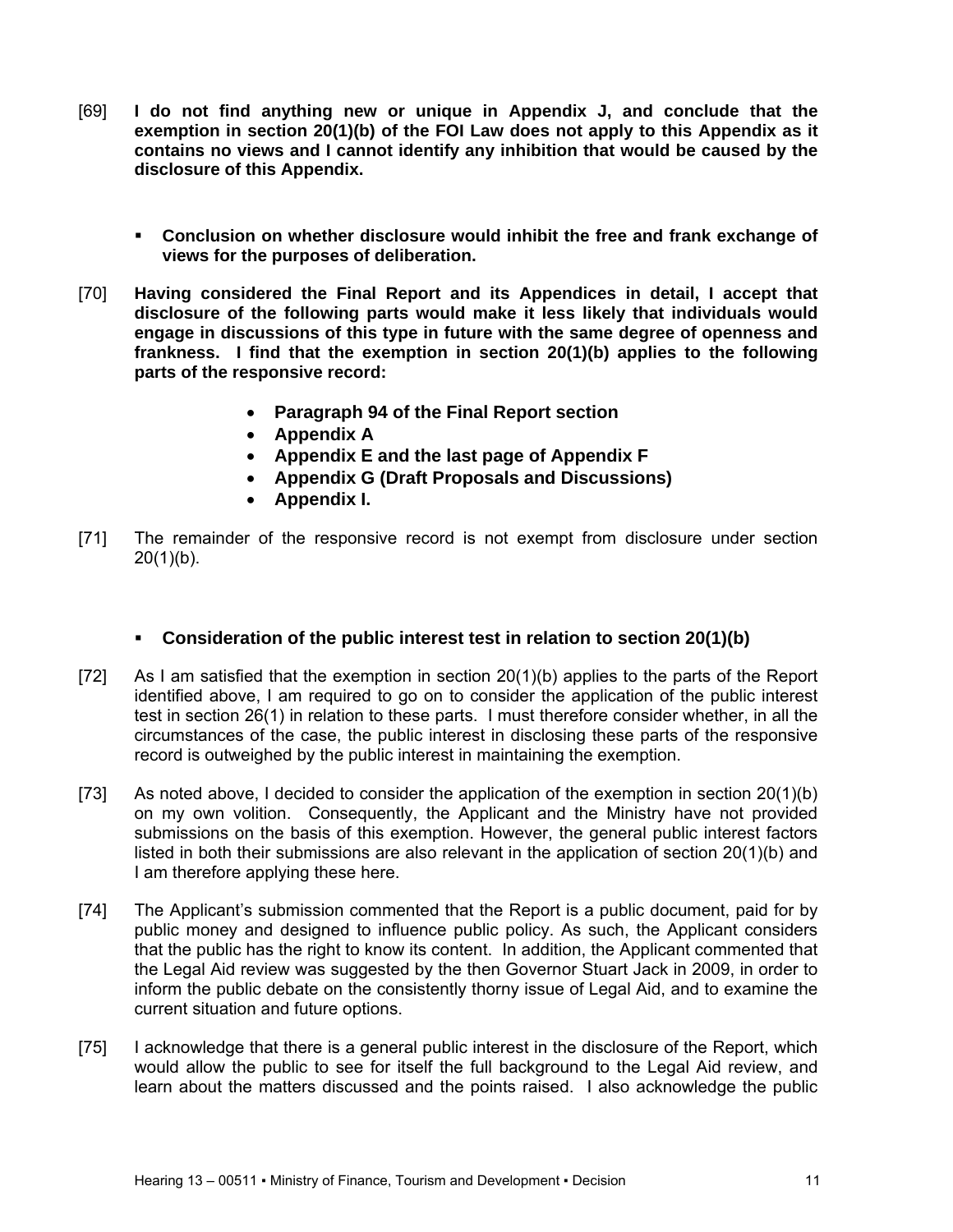- [69] **I do not find anything new or unique in Appendix J, and conclude that the exemption in section 20(1)(b) of the FOI Law does not apply to this Appendix as it contains no views and I cannot identify any inhibition that would be caused by the disclosure of this Appendix.** 
	- **Conclusion on whether disclosure would inhibit the free and frank exchange of views for the purposes of deliberation.**
- [70] **Having considered the Final Report and its Appendices in detail, I accept that disclosure of the following parts would make it less likely that individuals would engage in discussions of this type in future with the same degree of openness and frankness. I find that the exemption in section 20(1)(b) applies to the following parts of the responsive record:** 
	- **Paragraph 94 of the Final Report section**
	- **Appendix A**
	- **Appendix E and the last page of Appendix F**
	- **Appendix G (Draft Proposals and Discussions)**
	- **Appendix I.**
- [71] The remainder of the responsive record is not exempt from disclosure under section  $20(1)(b)$ .

# **Consideration of the public interest test in relation to section 20(1)(b)**

- [72] As I am satisfied that the exemption in section 20(1)(b) applies to the parts of the Report identified above, I am required to go on to consider the application of the public interest test in section 26(1) in relation to these parts. I must therefore consider whether, in all the circumstances of the case, the public interest in disclosing these parts of the responsive record is outweighed by the public interest in maintaining the exemption.
- [73] As noted above, I decided to consider the application of the exemption in section 20(1)(b) on my own volition. Consequently, the Applicant and the Ministry have not provided submissions on the basis of this exemption. However, the general public interest factors listed in both their submissions are also relevant in the application of section 20(1)(b) and I am therefore applying these here.
- [74] The Applicant's submission commented that the Report is a public document, paid for by public money and designed to influence public policy. As such, the Applicant considers that the public has the right to know its content. In addition, the Applicant commented that the Legal Aid review was suggested by the then Governor Stuart Jack in 2009, in order to inform the public debate on the consistently thorny issue of Legal Aid, and to examine the current situation and future options.
- [75] I acknowledge that there is a general public interest in the disclosure of the Report, which would allow the public to see for itself the full background to the Legal Aid review, and learn about the matters discussed and the points raised. I also acknowledge the public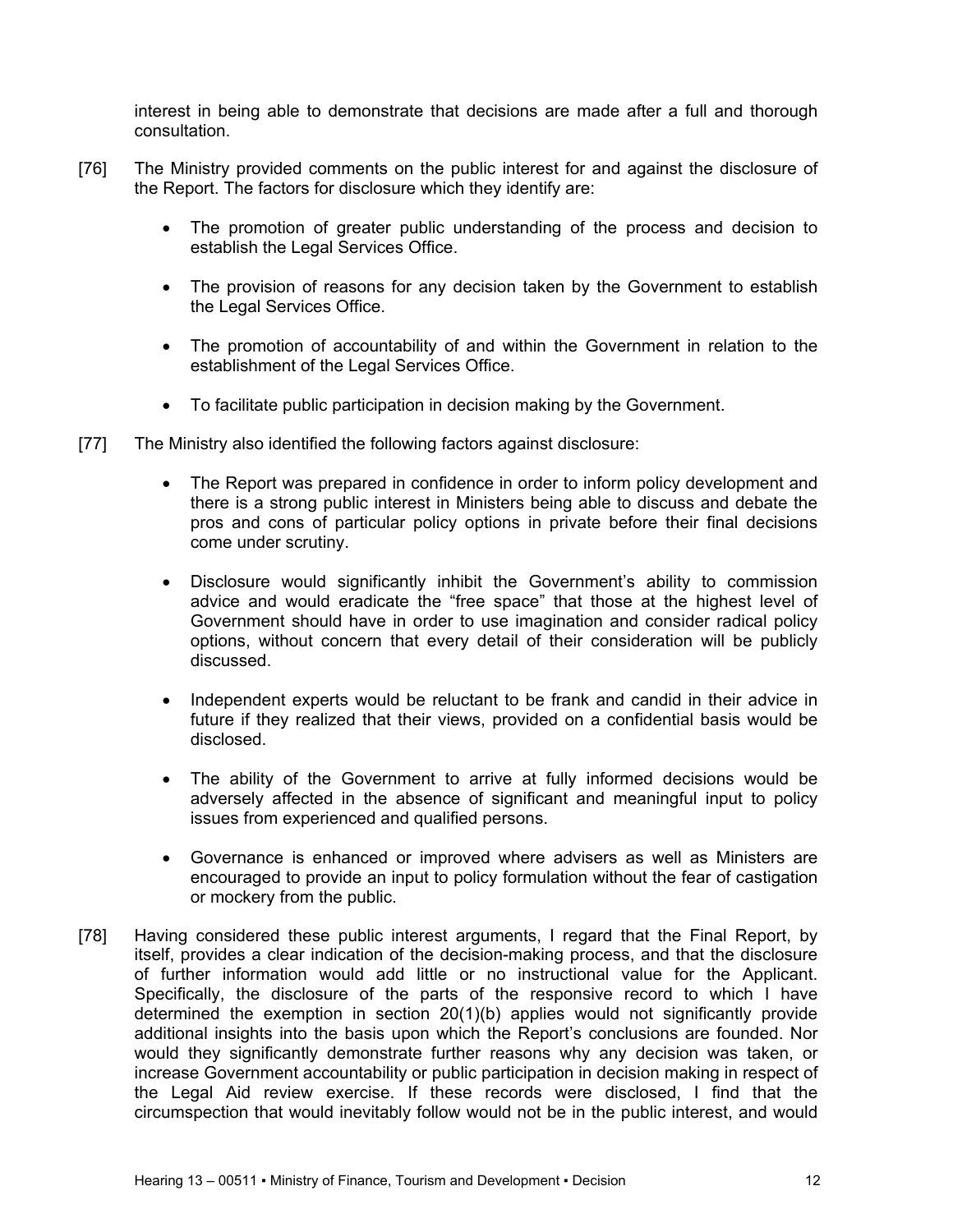interest in being able to demonstrate that decisions are made after a full and thorough consultation.

- [76] The Ministry provided comments on the public interest for and against the disclosure of the Report. The factors for disclosure which they identify are:
	- The promotion of greater public understanding of the process and decision to establish the Legal Services Office.
	- The provision of reasons for any decision taken by the Government to establish the Legal Services Office.
	- The promotion of accountability of and within the Government in relation to the establishment of the Legal Services Office.
	- To facilitate public participation in decision making by the Government.
- [77] The Ministry also identified the following factors against disclosure:
	- The Report was prepared in confidence in order to inform policy development and there is a strong public interest in Ministers being able to discuss and debate the pros and cons of particular policy options in private before their final decisions come under scrutiny.
	- Disclosure would significantly inhibit the Government's ability to commission advice and would eradicate the "free space" that those at the highest level of Government should have in order to use imagination and consider radical policy options, without concern that every detail of their consideration will be publicly discussed.
	- Independent experts would be reluctant to be frank and candid in their advice in future if they realized that their views, provided on a confidential basis would be disclosed.
	- The ability of the Government to arrive at fully informed decisions would be adversely affected in the absence of significant and meaningful input to policy issues from experienced and qualified persons.
	- Governance is enhanced or improved where advisers as well as Ministers are encouraged to provide an input to policy formulation without the fear of castigation or mockery from the public.
- [78] Having considered these public interest arguments, I regard that the Final Report, by itself, provides a clear indication of the decision-making process, and that the disclosure of further information would add little or no instructional value for the Applicant. Specifically, the disclosure of the parts of the responsive record to which I have determined the exemption in section 20(1)(b) applies would not significantly provide additional insights into the basis upon which the Report's conclusions are founded. Nor would they significantly demonstrate further reasons why any decision was taken, or increase Government accountability or public participation in decision making in respect of the Legal Aid review exercise. If these records were disclosed, I find that the circumspection that would inevitably follow would not be in the public interest, and would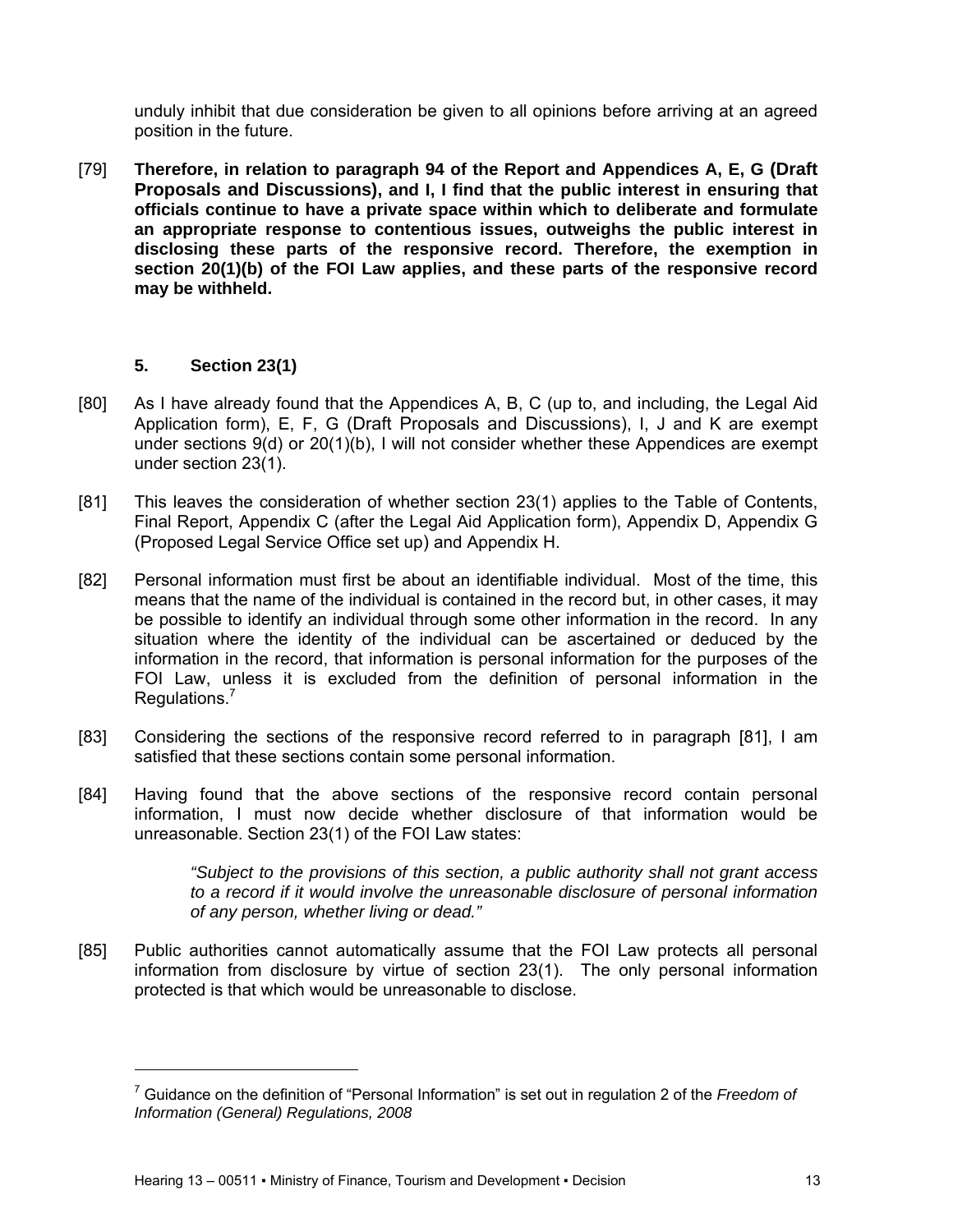unduly inhibit that due consideration be given to all opinions before arriving at an agreed position in the future.

[79] **Therefore, in relation to paragraph 94 of the Report and Appendices A, E, G (Draft Proposals and Discussions), and I, I find that the public interest in ensuring that officials continue to have a private space within which to deliberate and formulate an appropriate response to contentious issues, outweighs the public interest in disclosing these parts of the responsive record. Therefore, the exemption in section 20(1)(b) of the FOI Law applies, and these parts of the responsive record may be withheld.** 

## **5. Section 23(1)**

l

- [80] As I have already found that the Appendices A, B, C (up to, and including, the Legal Aid Application form), E, F, G (Draft Proposals and Discussions), I, J and K are exempt under sections 9(d) or 20(1)(b), I will not consider whether these Appendices are exempt under section 23(1).
- [81] This leaves the consideration of whether section 23(1) applies to the Table of Contents, Final Report, Appendix C (after the Legal Aid Application form), Appendix D, Appendix G (Proposed Legal Service Office set up) and Appendix H.
- [82] Personal information must first be about an identifiable individual. Most of the time, this means that the name of the individual is contained in the record but, in other cases, it may be possible to identify an individual through some other information in the record. In any situation where the identity of the individual can be ascertained or deduced by the information in the record, that information is personal information for the purposes of the FOI Law, unless it is excluded from the definition of personal information in the Regulations.<sup>7</sup>
- [83] Considering the sections of the responsive record referred to in paragraph [81], I am satisfied that these sections contain some personal information.
- [84] Having found that the above sections of the responsive record contain personal information, I must now decide whether disclosure of that information would be unreasonable. Section 23(1) of the FOI Law states:

*"Subject to the provisions of this section, a public authority shall not grant access to a record if it would involve the unreasonable disclosure of personal information of any person, whether living or dead."* 

[85] Public authorities cannot automatically assume that the FOI Law protects all personal information from disclosure by virtue of section 23(1). The only personal information protected is that which would be unreasonable to disclose.

<sup>7</sup> Guidance on the definition of "Personal Information" is set out in regulation 2 of the *Freedom of Information (General) Regulations, 2008*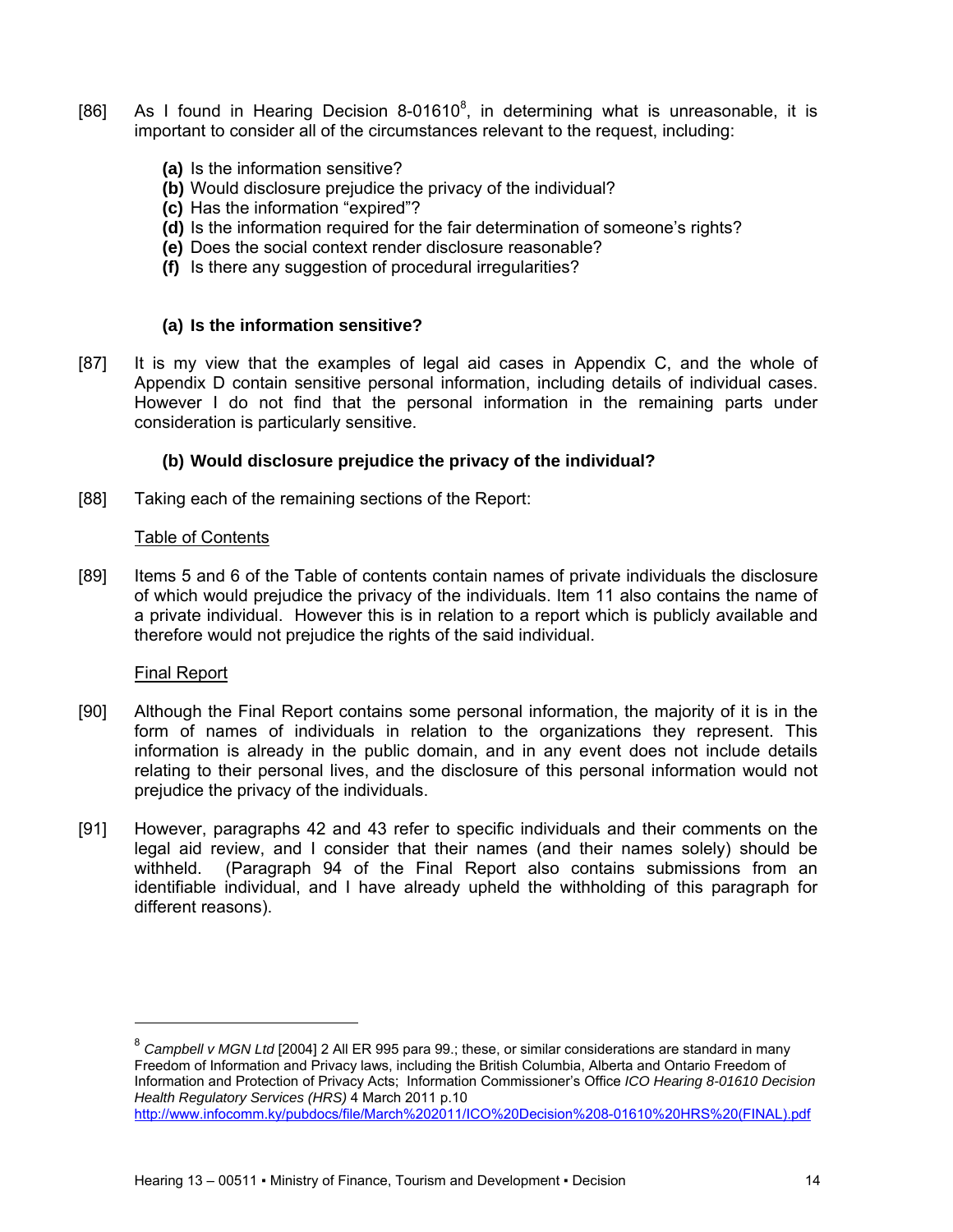- [86] As I found in Hearing Decision 8-01610 $^{8}$ , in determining what is unreasonable, it is important to consider all of the circumstances relevant to the request, including:
	- **(a)** Is the information sensitive?
	- **(b)** Would disclosure prejudice the privacy of the individual?
	- **(c)** Has the information "expired"?
	- **(d)** Is the information required for the fair determination of someone's rights?
	- **(e)** Does the social context render disclosure reasonable?
	- **(f)** Is there any suggestion of procedural irregularities?

### **(a) Is the information sensitive?**

[87] It is my view that the examples of legal aid cases in Appendix C, and the whole of Appendix D contain sensitive personal information, including details of individual cases. However I do not find that the personal information in the remaining parts under consideration is particularly sensitive.

### **(b) Would disclosure prejudice the privacy of the individual?**

[88] Taking each of the remaining sections of the Report:

### Table of Contents

[89] Items 5 and 6 of the Table of contents contain names of private individuals the disclosure of which would prejudice the privacy of the individuals. Item 11 also contains the name of a private individual. However this is in relation to a report which is publicly available and therefore would not prejudice the rights of the said individual.

### Final Report

- [90] Although the Final Report contains some personal information, the majority of it is in the form of names of individuals in relation to the organizations they represent. This information is already in the public domain, and in any event does not include details relating to their personal lives, and the disclosure of this personal information would not prejudice the privacy of the individuals.
- [91] However, paragraphs 42 and 43 refer to specific individuals and their comments on the legal aid review, and I consider that their names (and their names solely) should be withheld. (Paragraph 94 of the Final Report also contains submissions from an identifiable individual, and I have already upheld the withholding of this paragraph for different reasons).

<sup>&</sup>lt;sup>8</sup> Campbell v MGN Ltd [2004] 2 All ER 995 para 99.; these, or similar considerations are standard in many Freedom of Information and Privacy laws, including the British Columbia, Alberta and Ontario Freedom of Information and Protection of Privacy Acts; Information Commissioner's Office *ICO Hearing 8-01610 Decision Health Regulatory Services (HRS)* 4 March 2011 p.10 http://www.infocomm.ky/pubdocs/file/March%202011/ICO%20Decision%208-01610%20HRS%20(FINAL).pdf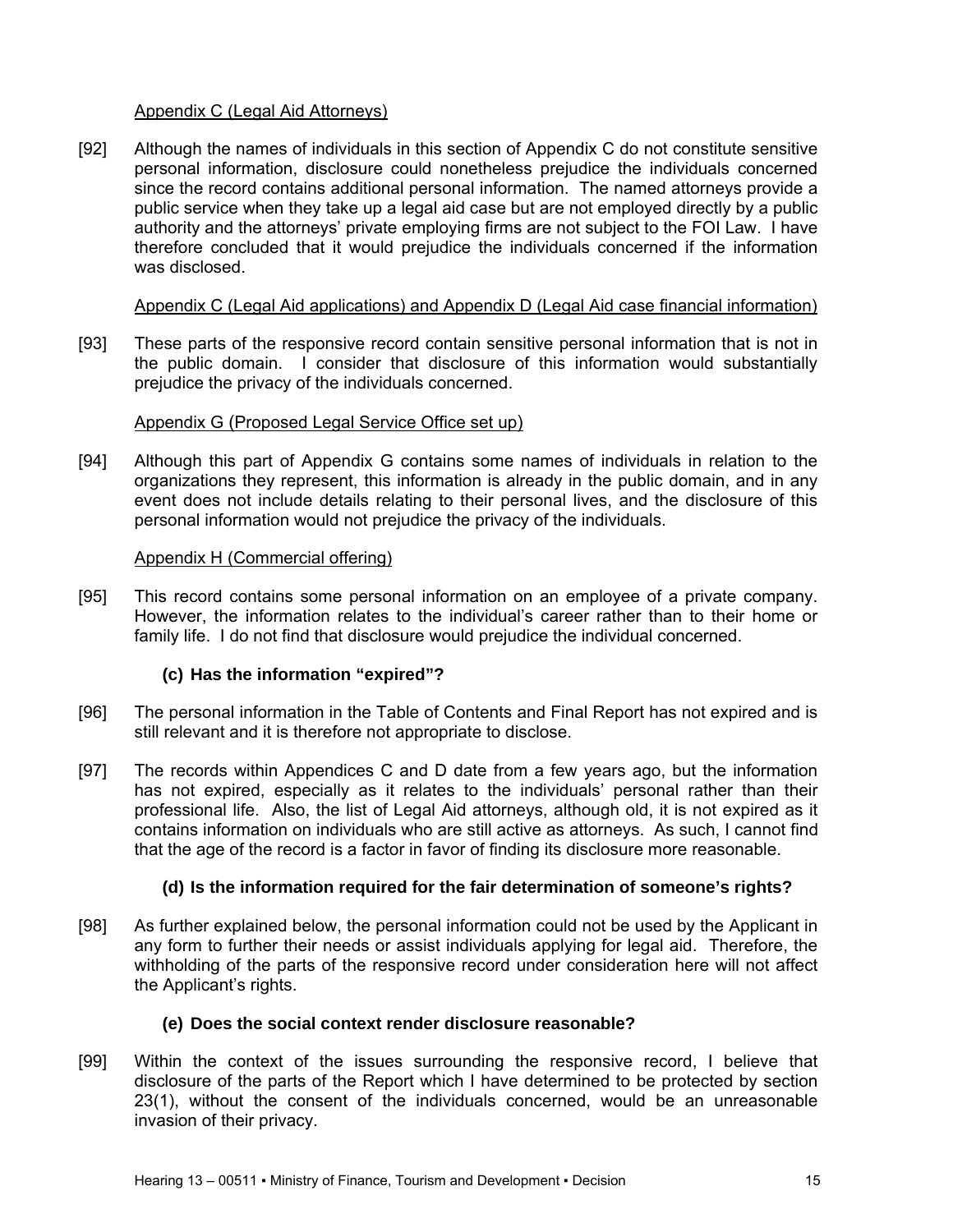## Appendix C (Legal Aid Attorneys)

[92] Although the names of individuals in this section of Appendix C do not constitute sensitive personal information, disclosure could nonetheless prejudice the individuals concerned since the record contains additional personal information. The named attorneys provide a public service when they take up a legal aid case but are not employed directly by a public authority and the attorneys' private employing firms are not subject to the FOI Law. I have therefore concluded that it would prejudice the individuals concerned if the information was disclosed.

## Appendix C (Legal Aid applications) and Appendix D (Legal Aid case financial information)

[93] These parts of the responsive record contain sensitive personal information that is not in the public domain. I consider that disclosure of this information would substantially prejudice the privacy of the individuals concerned.

## Appendix G (Proposed Legal Service Office set up)

[94] Although this part of Appendix G contains some names of individuals in relation to the organizations they represent, this information is already in the public domain, and in any event does not include details relating to their personal lives, and the disclosure of this personal information would not prejudice the privacy of the individuals.

## Appendix H (Commercial offering)

[95] This record contains some personal information on an employee of a private company. However, the information relates to the individual's career rather than to their home or family life. I do not find that disclosure would prejudice the individual concerned.

## **(c) Has the information "expired"?**

- [96] The personal information in the Table of Contents and Final Report has not expired and is still relevant and it is therefore not appropriate to disclose.
- [97] The records within Appendices C and D date from a few years ago, but the information has not expired, especially as it relates to the individuals' personal rather than their professional life. Also, the list of Legal Aid attorneys, although old, it is not expired as it contains information on individuals who are still active as attorneys. As such, I cannot find that the age of the record is a factor in favor of finding its disclosure more reasonable.

## **(d) Is the information required for the fair determination of someone's rights?**

[98] As further explained below, the personal information could not be used by the Applicant in any form to further their needs or assist individuals applying for legal aid. Therefore, the withholding of the parts of the responsive record under consideration here will not affect the Applicant's rights.

## **(e) Does the social context render disclosure reasonable?**

[99] Within the context of the issues surrounding the responsive record, I believe that disclosure of the parts of the Report which I have determined to be protected by section 23(1), without the consent of the individuals concerned, would be an unreasonable invasion of their privacy.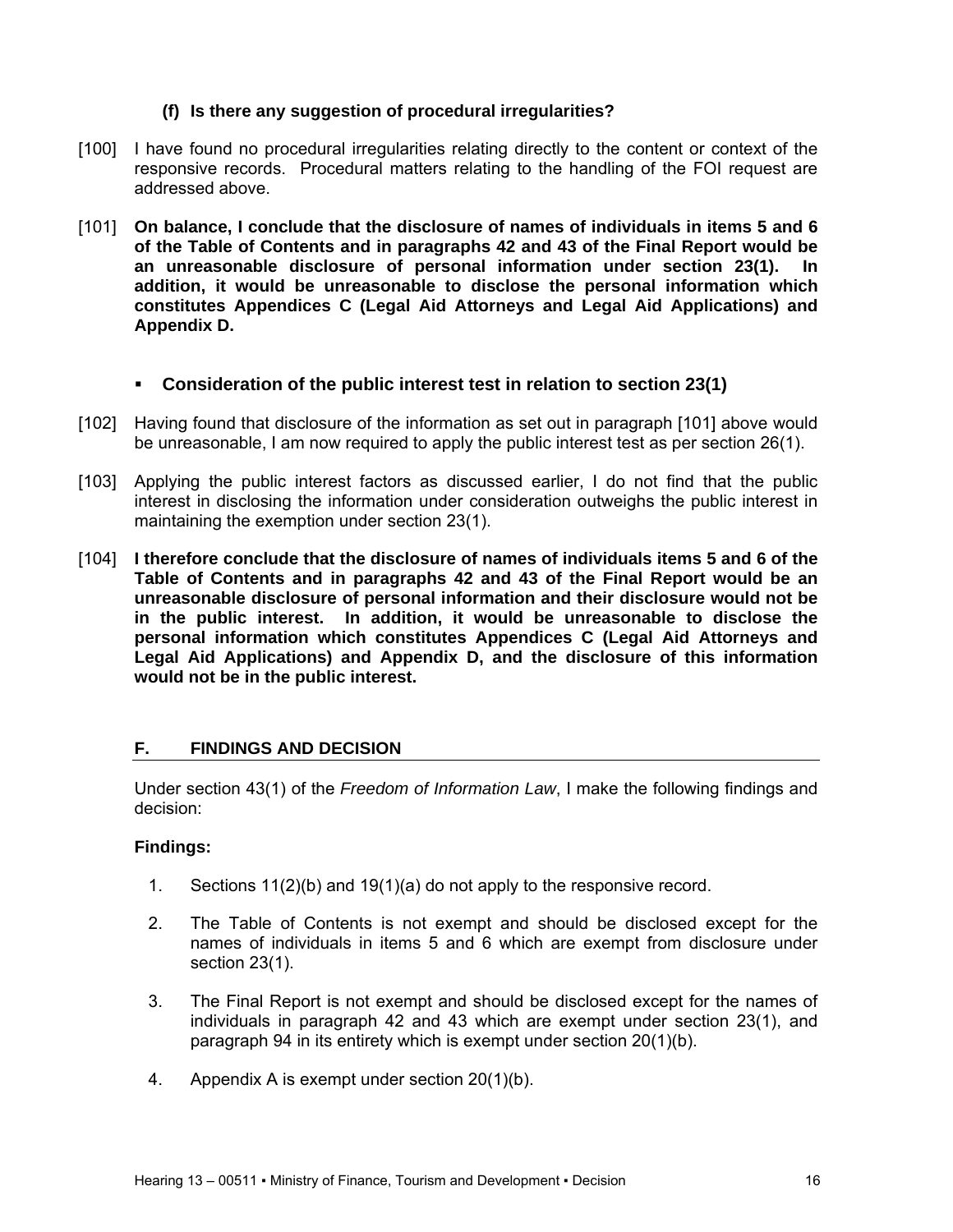### **(f) Is there any suggestion of procedural irregularities?**

- [100] I have found no procedural irregularities relating directly to the content or context of the responsive records. Procedural matters relating to the handling of the FOI request are addressed above.
- [101] **On balance, I conclude that the disclosure of names of individuals in items 5 and 6 of the Table of Contents and in paragraphs 42 and 43 of the Final Report would be an unreasonable disclosure of personal information under section 23(1). In addition, it would be unreasonable to disclose the personal information which constitutes Appendices C (Legal Aid Attorneys and Legal Aid Applications) and Appendix D.**

### **Consideration of the public interest test in relation to section 23(1)**

- [102] Having found that disclosure of the information as set out in paragraph [101] above would be unreasonable, I am now required to apply the public interest test as per section 26(1).
- [103] Applying the public interest factors as discussed earlier, I do not find that the public interest in disclosing the information under consideration outweighs the public interest in maintaining the exemption under section 23(1).
- [104] **I therefore conclude that the disclosure of names of individuals items 5 and 6 of the Table of Contents and in paragraphs 42 and 43 of the Final Report would be an unreasonable disclosure of personal information and their disclosure would not be in the public interest. In addition, it would be unreasonable to disclose the personal information which constitutes Appendices C (Legal Aid Attorneys and Legal Aid Applications) and Appendix D, and the disclosure of this information would not be in the public interest.**

## **F. FINDINGS AND DECISION**

Under section 43(1) of the *Freedom of Information Law*, I make the following findings and decision:

### **Findings:**

- 1. Sections 11(2)(b) and 19(1)(a) do not apply to the responsive record.
- 2. The Table of Contents is not exempt and should be disclosed except for the names of individuals in items 5 and 6 which are exempt from disclosure under section 23(1).
- 3. The Final Report is not exempt and should be disclosed except for the names of individuals in paragraph 42 and 43 which are exempt under section 23(1), and paragraph 94 in its entirety which is exempt under section 20(1)(b).
- 4. Appendix A is exempt under section 20(1)(b).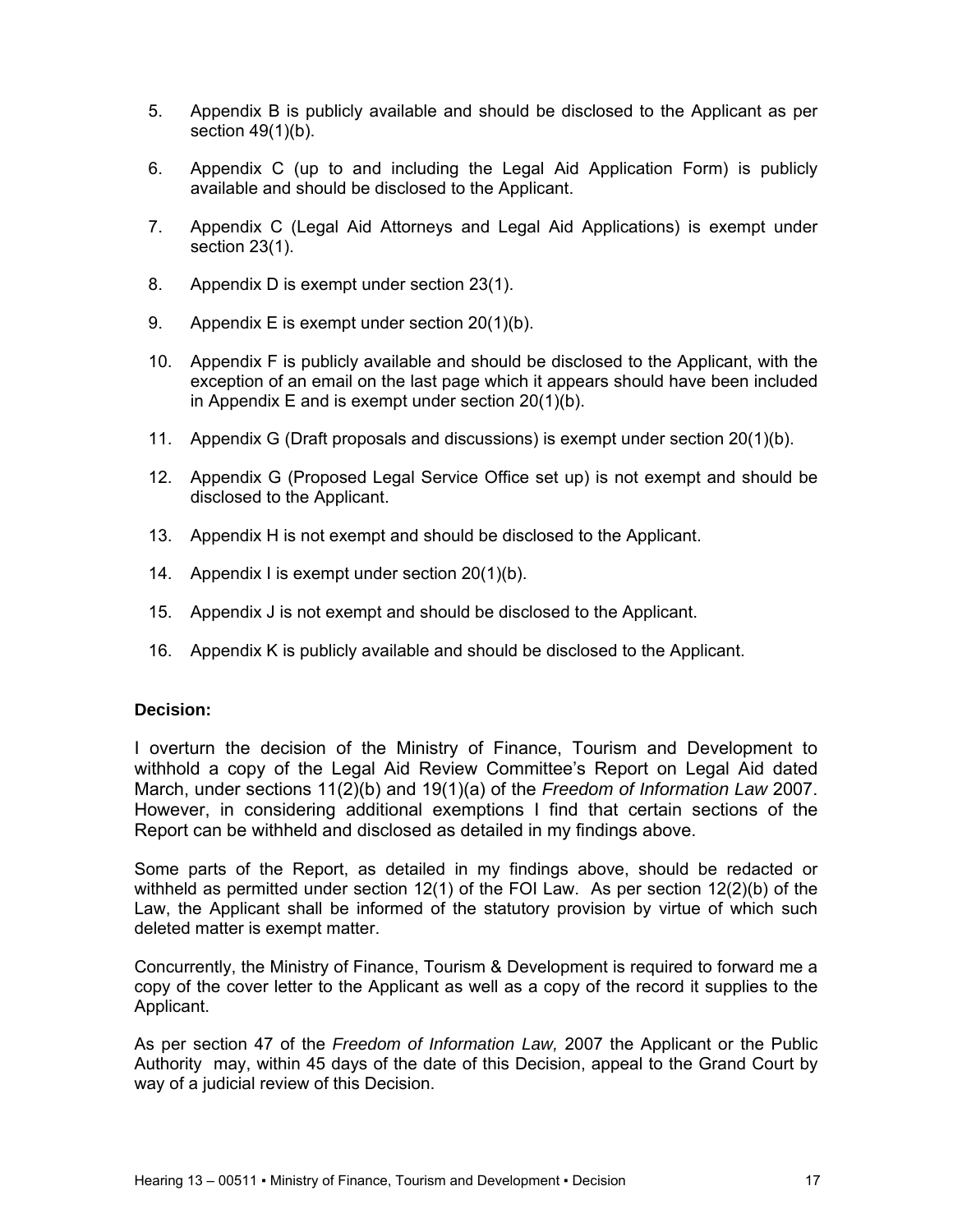- 5. Appendix B is publicly available and should be disclosed to the Applicant as per section 49(1)(b).
- 6. Appendix C (up to and including the Legal Aid Application Form) is publicly available and should be disclosed to the Applicant.
- 7. Appendix C (Legal Aid Attorneys and Legal Aid Applications) is exempt under section 23(1).
- 8. Appendix D is exempt under section 23(1).
- 9. Appendix E is exempt under section 20(1)(b).
- 10. Appendix F is publicly available and should be disclosed to the Applicant, with the exception of an email on the last page which it appears should have been included in Appendix E and is exempt under section 20(1)(b).
- 11. Appendix G (Draft proposals and discussions) is exempt under section 20(1)(b).
- 12. Appendix G (Proposed Legal Service Office set up) is not exempt and should be disclosed to the Applicant.
- 13. Appendix H is not exempt and should be disclosed to the Applicant.
- 14. Appendix I is exempt under section 20(1)(b).
- 15. Appendix J is not exempt and should be disclosed to the Applicant.
- 16. Appendix K is publicly available and should be disclosed to the Applicant.

### **Decision:**

I overturn the decision of the Ministry of Finance, Tourism and Development to withhold a copy of the Legal Aid Review Committee's Report on Legal Aid dated March, under sections 11(2)(b) and 19(1)(a) of the *Freedom of Information Law* 2007. However, in considering additional exemptions I find that certain sections of the Report can be withheld and disclosed as detailed in my findings above.

Some parts of the Report, as detailed in my findings above, should be redacted or withheld as permitted under section 12(1) of the FOI Law. As per section 12(2)(b) of the Law, the Applicant shall be informed of the statutory provision by virtue of which such deleted matter is exempt matter.

Concurrently, the Ministry of Finance, Tourism & Development is required to forward me a copy of the cover letter to the Applicant as well as a copy of the record it supplies to the Applicant.

As per section 47 of the *Freedom of Information Law,* 2007 the Applicant or the Public Authority may, within 45 days of the date of this Decision, appeal to the Grand Court by way of a judicial review of this Decision.